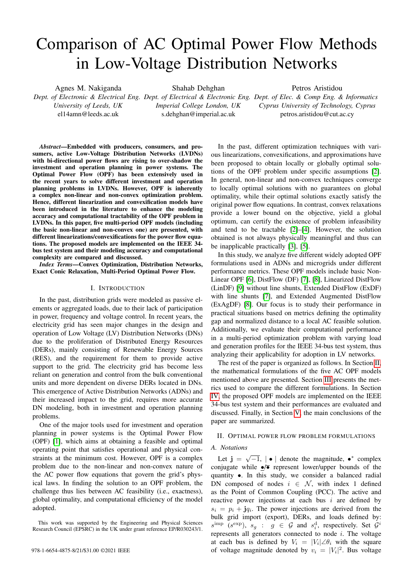# Comparison of AC Optimal Power Flow Methods in Low-Voltage Distribution Networks

Agnes M. Nakiganda

Shahab Dehghan

Petros Aristidou

*University of Leeds, UK* el14amn@leeds.ac.uk

*Imperial College London, UK* s.dehghan@imperial.ac.uk

*Dept. of Electronic & Electrical Eng. Dept. of Electrical & Electronic Eng. Dept. of Elec. & Comp Eng. & Informatics Cyprus University of Technology, Cyprus* petros.aristidou@cut.ac.cy

*Abstract*—Embedded with producers, consumers, and prosumers, active Low-Voltage Distribution Networks (LVDNs) with bi-directional power flows are rising to over-shadow the investment and operation planning in power systems. The Optimal Power Flow (OPF) has been extensively used in the recent years to solve different investment and operation planning problems in LVDNs. However, OPF is inherently a complex non-linear and non-convex optimization problem. Hence, different linearization and convexification models have been introduced in the literature to enhance the modeling accuracy and computational tractability of the OPF problem in LVDNs. In this paper, five multi-period OPF models (including the basic non-linear and non-convex one) are presented, with different linearizations/convexifications for the power flow equations. The proposed models are implemented on the IEEE 34 bus test system and their modeling accuracy and computational complexity are compared and discussed.

*Index Terms*—Convex Optimization, Distribution Networks, Exact Conic Relaxation, Multi-Period Optimal Power Flow.

# I. INTRODUCTION

In the past, distribution grids were modeled as passive elements or aggregated loads, due to their lack of participation in power, frequency and voltage control. In recent years, the electricity grid has seen major changes in the design and operation of Low Voltage (LV) Distribution Networks (DNs) due to the proliferation of Distributed Energy Resources (DERs), mainly consisting of Renewable Energy Sources (RES), and the requirement for them to provide active support to the grid. The electricity grid has become less reliant on generation and control from the bulk conventional units and more dependent on diverse DERs located in DNs. This emergence of Active Distribution Networks (ADNs) and their increased impact to the grid, requires more accurate DN modeling, both in investment and operation planning problems.

One of the major tools used for investment and operation planning in power systems is the Optimal Power Flow (OPF) [\[1\]](#page-4-0), which aims at obtaining a feasible and optimal operating point that satisfies operational and physical constraints at the minimum cost. However, OPF is a complex problem due to the non-linear and non-convex nature of the AC power flow equations that govern the grid's physical laws. In finding the solution to an OPF problem, the challenge thus lies between AC feasibility (i.e., exactness), global optimality, and computational efficiency of the model adopted.

This work was supported by the Engineering and Physical Sciences Research Council (EPSRC) in the UK under grant reference EP/R030243/1.

In the past, different optimization techniques with various linearizations, convexifications, and approximations have been proposed to obtain locally or globally optimal solutions of the OPF problem under specific assumptions [\[2\]](#page-4-1). In general, non-linear and non-convex techniques converge to locally optimal solutions with no guarantees on global optimality, while their optimal solutions exactly satisfy the original power flow equations. In contrast, convex relaxations provide a lower bound on the objective, yield a global optimum, can certify the existence of problem infeasibility and tend to be tractable [\[2\]](#page-4-1)–[\[4\]](#page-4-2). However, the solution obtained is not always physically meaningful and thus can be inapplicable practically [\[3\]](#page-4-3), [\[5\]](#page-4-4).

In this study, we analyze five different widely adopted OPF formulations used in ADNs and microgrids under different performance metrics. These OPF models include basic Non-Linear OPF [\[6\]](#page-4-5), DistFlow (DF) [\[7\]](#page-4-6), [\[8\]](#page-4-7), Linearized DistFlow (LinDF) [\[9\]](#page-4-8) without line shunts, Extended DistFlow (ExDF) with line shunts [\[7\]](#page-4-6), and Extended Augmented DistFlow (ExAgDF) [\[8\]](#page-4-7). Our focus is to study their performance in practical situations based on metrics defining the optimality gap and normalized distance to a local AC feasible solution. Additionally, we evaluate their computational performance in a multi-period optimization problem with varying load and generation profiles for the IEEE 34-bus test system, thus analyzing their applicability for adoption in LV networks.

The rest of the paper is organized as follows. In Section [II,](#page-0-0) the mathematical formulations of the five AC OPF models mentioned above are presented. Section [III](#page-2-0) presents the metrics used to compare the different formulations. In Section [IV,](#page-2-1) the proposed OPF models are implemented on the IEEE 34-bus test system and their performances are evaluated and discussed. Finally, in Section [V,](#page-4-9) the main conclusions of the paper are summarized.

### <span id="page-0-0"></span>II. OPTIMAL POWER FLOW PROBLEM FORMULATIONS

# *A. Notations*

Let  $\mathbf{j} = \sqrt{-1}$ ,  $\mathbf{|\bullet|}$  denote the magnitude,  $\mathbf{\bullet}^*$  complex conjugate while  $\overline{\bullet}$  represent lower/upper bounds of the quantity •. In this study, we consider a balanced radial DN composed of nodes  $i \in \mathcal{N}$ , with index 1 defined as the Point of Common Coupling (PCC). The active and reactive power injections at each bus  $i$  are defined by  $s_i = p_i + jq_i$ . The power injections are derived from the bulk grid import (export), DERs, and loads defined by:  $s^{imp}$  ( $s^{exp}$ ),  $s_g$ :  $g \in G$  and  $s_i^d$ , respectively. Set  $G^i$ represents all generators connected to node  $i$ . The voltage at each bus is defined by  $V_i = |V_i| \angle \theta_i$  with the square 978-1-6654-4875-8/21/\$31.00 ©2021 IEEE of voltage magnitude denoted by  $v_i = |V_i|^2$ . Bus voltage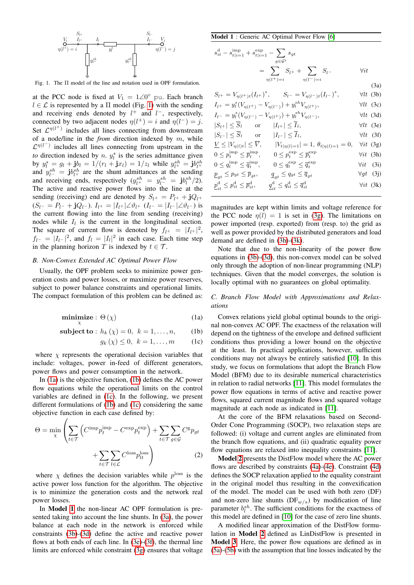

<span id="page-1-0"></span>Fig. 1. The Π model of the line and notation used in OPF formulation.

at the PCC node is fixed at  $V_1 = 1 \angle 0^{\circ}$  pu. Each branch  $l \in \mathcal{L}$  is represented by a  $\Pi$  model (Fig. [1\)](#page-1-0) with the sending and receiving ends denoted by  $l^+$  and  $l^-$ , respectively, connected by two adjacent nodes  $\eta(l^+) = i$  and  $\eta(l^-) = j$ . Set  $\mathcal{L}^{\eta(l^+)}$  includes all lines connecting from downstream of a node/line in the *from* direction indexed by m, while  $\mathcal{L}^{\eta(l^-)}$  includes all lines connecting from upstream in the to direction indexed by  $n. y_i^s$  is the series admittance given by  $y_l^s = g_l + j v_l = 1/(r_l + j x_l) = 1/z_l$  while  $y_{l+}^{sh} = j b_{l+}^{sh}$ and  $y_{l-}^{sh} = \mathbf{j}b_{l+}^{sh}$  are the shunt admittances at the sending and receiving ends, respectively  $(y_{l^+}^{sh} = y_{l^-}^{sh} = \mathbf{j}b_l^{sh}/2)$ . The active and reactive power flows into the line at the sending (receiving) end are denoted by  $S_{l^+} = P_{l^+} + jQ_{l^+}$  $(S_l- = P_l- + jQ_l-).$   $I_{l^+} = |I_{l^+}| \angle \vartheta_{l^+}$   $(I_{l^-} = |I_{l^-}| \angle \vartheta_{l^-})$  is the current flowing into the line from sending (receiving) nodes while  $I_l$  is the current in the longitudinal section. The square of current flow is denoted by  $f_{l^+} = |I_{l^+}|^2$ ,  $f_{l-} = |I_{l-}|^2$ , and  $f_l = |I_l|^2$  in each case. Each time step in the planning horizon T is indexed by  $t \in \mathcal{T}$ .

# *B. Non-Convex Extended AC Optimal Power Flow*

<span id="page-1-1"></span>Usually, the OPF problem seeks to minimize power generation costs and power losses, or maximize power reserves, subject to power balance constraints and operational limits. The compact formulation of this problem can be defined as:

$$
\underset{\chi}{\text{minimize}} : \Theta(\chi) \tag{1a}
$$

$$
subject to: h_k(χ) = 0, k = 1,...,n,
$$
 (1b)

$$
g_k(\chi) \le 0, \ k = 1, \dots, m \qquad \text{(1c)}
$$

where  $\chi$  represents the operational decision variables that include: voltages, power in-feed of different generators, power flows and power consumption in the network.

In [\(1a\)](#page-1-1) is the objective function, [\(1b\)](#page-1-2) defines the AC power flow equations while the operational limits on the control variables are defined in [\(1c\)](#page-1-3). In the following, we present different formulations of [\(1b\)](#page-1-2) and [\(1c\)](#page-1-3) considering the same objective function in each case defined by:

 $\sqrt{ }$ 

$$
\Theta = \min_{\chi} \left( \sum_{t \in \mathcal{T}} \left( C^{\text{imp}} p_t^{\text{imp}} - C^{\text{exp}} p_t^{\text{exp}} \right) + \sum_{t \in \mathcal{T}} \sum_{g \in \mathcal{G}} C^{\text{g}} p_{gt} + \sum_{t \in \mathcal{T}} \sum_{l \in \mathcal{L}} C^{\text{loss}} p_{lt}^{\text{loss}} \right) \tag{2}
$$

where  $\chi$  defines the decision variables while  $p^{\text{loss}}$  is the active power loss function for the algorithm. The objective is to minimize the generation costs and the network real power losses.

In Model [1](#page-1-4) the non-linear AC OPF formulation is presented taking into account the line shunts. In [\(3a\)](#page-1-1), the power balance at each node in the network is enforced while constraints [\(3b\)](#page-1-2)-[\(3d\)](#page-1-5) define the active and reactive power flows at both ends of each line. In [\(3e\)](#page-1-6)-[\(3f\)](#page-1-7), the thermal line limits are enforced while constraint [\(3g\)](#page-1-8) ensures that voltage

<span id="page-1-4"></span>Model 1 : Generic AC Optimal Power Flow [\[6\]](#page-4-5)

 $S_{l^+}$  =

$$
s_{it}^d - s_{t|i=1}^{\text{imp}} + s_{t|i=1}^{\text{exp}} - \sum_{g \in \mathcal{G}^i} s_{gt}
$$
  
= 
$$
\sum_{\eta(l^+) = i} S_{l^+} + \sum_{\eta(l^-) = i} S_{l^-}
$$
  $\forall it$ 

<span id="page-1-9"></span><span id="page-1-8"></span><span id="page-1-7"></span><span id="page-1-6"></span><span id="page-1-5"></span>(3a)  

$$
V_{\eta(l^+)t}(I_{l^+})^*, \qquad S_{l^-} = V_{\eta(l^-)t}(I_{l^-})^*, \qquad \forall lt \text{ (3b)}
$$

$$
I_{l+} = y_{l}^{s} (V_{\eta(l+)} - V_{\eta(l-)}) + y_{l}^{s} N_{\eta(l+)} , \qquad \forall lt \text{ (3c)}
$$
  
\n
$$
I_{l-} = y_{l}^{s} (V_{\eta(l-)} - V_{\eta(l+)}) + y_{l}^{s} N_{\eta(l-)} , \qquad \forall lt \text{ (3d)}
$$
  
\n
$$
|S_{l+}| \leq \overline{S}_{l} \qquad \text{or} \qquad |I_{l+}| \leq \overline{I}_{l} , \qquad \forall lt \text{ (3e)}
$$
  
\n
$$
|S_{l-}| \leq \overline{S}_{l} \qquad \text{or} \qquad |I_{l-}| \leq \overline{I}_{l} , \qquad \forall lt \text{ (3f)}
$$
  
\n
$$
\underline{V} \leq |V_{\eta(l)t}| \leq \overline{V} , \qquad |V_{t|\eta(l)=1}| = 1, \theta_{t|\eta(l)=1} = 0, \qquad \forall it \text{ (3g)}
$$
  
\n
$$
0 \leq p_{l}^{\text{imp}} \leq \overline{p}_{l}^{\text{imp}}, \qquad 0 \leq p_{l}^{\text{exp}} \leq \overline{p}_{l}^{\text{exp}} \qquad \forall it \text{ (3h)}
$$
  
\n
$$
0 \leq q_{t}^{\text{imp}} \leq \overline{q}_{t}^{\text{imp}}, \qquad 0 \leq q_{t}^{\text{exp}} \leq \overline{q}_{t}^{\text{exp}} \qquad \forall it \text{ (3i)}
$$
  
\n
$$
\underline{p}_{st} \leq p_{st} \leq \overline{p}_{st} , \qquad \underline{q}_{st} \leq q_{st} \leq \overline{q}_{st} \qquad \forall gt \text{ (3i)}
$$
  
\n
$$
\underline{p}_{it}^{d} \leq p_{it}^{d} \leq \overline{p}_{it}^{d}, \qquad \underline{q}_{it}^{d} \leq q_{it}^{d} \leq \overline{q}_{it}^{d} \qquad \forall it \text{ (3k)}
$$

<span id="page-1-10"></span>magnitudes are kept within limits and voltage reference for the PCC node  $\eta(l) = 1$  is set in [\(3g\)](#page-1-8). The limitations on power imported (resp. exported) from (resp. to) the grid as well as power provided by the distributed generators and load demand are defined in [\(3h\)](#page-1-9)-[\(3k\)](#page-1-10).

Note that due to the non-linearity of the power flow equations in [\(3b\)](#page-1-2)-[\(3d\)](#page-1-5), this non-convex model can be solved only through the adoption of non-linear programming (NLP) techniques. Given that the model converges, the solution is locally optimal with no guarantees on global optimality.

# *C. Branch Flow Model with Approximations and Relaxations*

<span id="page-1-3"></span><span id="page-1-2"></span>Convex relations yield global optimal bounds to the original non-convex AC OPF. The exactness of the relaxation will depend on the tightness of the envelope and defined sufficient conditions thus providing a lower bound on the objective at the least. In practical applications, however, sufficient conditions may not always be entirely satisfied [\[10\]](#page-4-10). In this study, we focus on formulations that adopt the Branch Flow Model (BFM) due to its desirable numerical characteristics in relation to radial networks [\[11\]](#page-4-11). This model formulates the power flow equations in terms of active and reactive power flows, squared current magnitude flows and squared voltage magnitude at each node as indicated in [\[11\]](#page-4-11).

At the core of the BFM relaxations based on Second-Order Cone Programming (SOCP), two relaxation steps are followed: (i) voltage and current angles are eliminated from the branch flow equations, and (ii) quadratic equality power flow equations are relaxed into inequality constraints [\[11\]](#page-4-11).

Model [2](#page-2-2) presents the DistFlow model where the AC power flows are described by constraints [\(4a\)](#page-1-1)-[\(4e\)](#page-1-6). Constraint [\(4d\)](#page-1-5) defines the SOCP relaxation applied to the equality constraint in the original model thus resulting in the convexification of the model. The model can be used with both zero (DF) and non-zero line shunts  $(DF_{w/s})$  by modification of line parameter  $b_l^{sh}$ . The sufficient conditions for the exactness of this model are defined in [\[10\]](#page-4-10) for the case of zero line shunts.

A modified linear approximation of the DistFlow formulation in Model [2](#page-2-2) defined as LinDistFlow is presented in Model [3](#page-2-3). Here, the power flow equations are defined as in [\(5a\)](#page-1-1)-[\(5b\)](#page-1-2) with the assumption that line losses indicated by the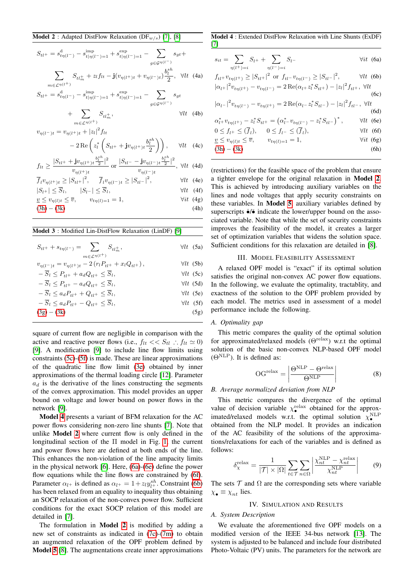<span id="page-2-2"></span>
$$
S_{tl} = s_{t\eta(l^{-})}^{\text{d}} - s_{t|\eta(l^{-})=1}^{\text{imp}} + s_{t|\eta(l^{-})=1}^{\text{exp}} - \sum_{g \in \mathcal{G}^{\eta(l^{-})}} s_{gt} +
$$

$$
\sum_{m \in \mathcal{L}^{\eta(l^{+})}} S_{tt_m^+} + z_l f_{lt} - \mathbf{j}(v_{\eta(l^{+})t} + v_{\eta(l^{-})t}) \frac{b_l^{sh}}{2}, \quad \forall lt \quad (4a)
$$

$$
S_{tl+} = s_{t\eta(l^{-})}^{d} - s_{t|\eta(l^{-})=1}^{\text{imp}} + s_{t|\eta(l^{-})=1}^{\text{exp}} - \sum_{g \in \mathcal{G}^{\eta(l^{-})}} s_{gt}
$$

$$
+ \sum_{m \in \mathcal{L}^{\eta(l^{+})}} S_{tt_{m}^{+}}, \qquad \forall lt \quad (4b)
$$

 $v_{\eta(l^-)t} = v_{\eta(l^+)t} + |z_l|^2 f_{lt}$ 

$$
-2\operatorname{Re}\left(z_l^*\left(S_{tl}+{\bf j}v_{\eta(l^+)}t\frac{b_l^{sh}}{2}\right)\right),\qquad \forall lt\quad (4c)
$$

$$
f_{lt} \ge \frac{|S_{tl^+} + \mathbf{j}v_{\eta(l^+)}t^{\frac{b_l^{sh}}{2}}|^2}{v_{\eta(l^+)}t} \text{ or } \frac{|S_{tl^-} - \mathbf{j}v_{\eta(l^-)}t^{\frac{b_l^{sh}}{2}}|^2}{v_{\eta(l^-)}t}, \ \forall lt \ \text{ (4d)}
$$

$$
\overline{f}_l v_{\eta(l^+)t} \ge |S_{tl^+}|^2, \quad \overline{f}_l v_{\eta(l^-)t} \ge |S_{tl^-}|^2, \qquad \forall lt \tag{4e}
$$

$$
|S_{l+}| \le \overline{S}_l, \qquad |S_{l-}| \le \overline{S}_l, \qquad \forall l t \quad (4f)
$$
\n
$$
\therefore S_{l+1} = \overline{S}_l, \qquad \forall l t \quad (4f)
$$

$$
\underline{v} \le v_{\eta(l)t} \le \overline{v}, \qquad v_{t\eta(l)=1} = 1, \qquad \forall it \quad (4g)
$$
  
(3h) - (3k) \qquad (4h)

<span id="page-2-3"></span>

| <b>Model 3</b> : Modified Lin-DistFlow Relaxation (LinDF) [9]                               |                   |
|---------------------------------------------------------------------------------------------|-------------------|
| $S_{tl^+} + s_{t\eta(l^-)} = \sum_{l=t_m^+} S_{tl_m^+},$<br>$m \in \mathcal{L}^{\eta(l+1)}$ | $\forall$ lt (5a) |
| $v_{\eta(l^-)t} = v_{\eta(l^+)t} - 2(r_l P_{tl^+} + x_l Q_{tl^+}),$                         | $\forall$ lt (5b) |
| $-\overline{S}_l \leq P_{tl^+} + a_d Q_{tl^+} \leq \overline{S}_l,$                         | $\forall$ lt (5c) |
| $-\overline{S}_l \leq P_{tl+} - a_d Q_{tl+} \leq \overline{S}_l,$                           | $\forall$ lt (5d) |

$$
-\overline{S}_l \le a_d P_{tl} + Q_{tl} \le \overline{S}_l, \qquad \forall lt \text{ (5e)}
$$
  
\n
$$
-\overline{S}_l \le a_d P_{tl} - Q_{tl} \le \overline{S}_l, \qquad \forall lt \text{ (5f)}
$$
  
\n(3g) - (3k) \qquad (5g)

square of current flow are negligible in comparison with the active and reactive power flows (i.e.,  $f_{lt} \langle S_{tl} : f_{lt} \simeq 0 \rangle$ [\[9\]](#page-4-8). A modification [\[9\]](#page-4-8) to include line flow limits using constraints [\(5c\)](#page-1-3)-[\(5f\)](#page-1-7) is made. These are linear approximations of the quadratic line flow limit [\(3e\)](#page-1-6) obtained by inner approximations of the thermal loading circle [\[12\]](#page-4-12). Parameter  $a_d$  is the derivative of the lines constructing the segments of the convex approximation. This model provides an upper bound on voltage and lower bound on power flows in the network [\[9\]](#page-4-8).

Model [4](#page-2-4) presents a variant of BFM relaxation for the AC power flows considering non-zero line shunts [\[7\]](#page-4-6). Note that unlike Model [2](#page-2-2) where current flow is only defined in the longitudinal section of the Π model in Fig. [1,](#page-1-0) the current and power flows here are defined at both ends of the line. This enhances the non-violation of the line ampacity limits in the physical network [\[6\]](#page-4-5). Here, [\(6a\)](#page-1-1)-[\(6e\)](#page-1-6) define the power flow equations while the line flows are constrained by [\(6f\)](#page-1-7). Parameter  $\alpha_{l+}$  is defined as  $\alpha_{l+} = 1 + z_l y_{l+}^{sh}$ . Constraint [\(6b\)](#page-1-2) has been relaxed from an equality to inequality thus obtaining an SOCP relaxation of the non-convex power flow. Sufficient conditions for the exact SOCP relation of this model are detailed in [\[7\]](#page-4-6).

The formulation in **Model [2](#page-2-2)** is modified by adding a new set of constraints as indicated in [\(7c\)](#page-1-3)-[\(7m\)](#page-3-0) to obtain an augmented relaxation of the OPF problem defined by Model [5](#page-3-1) [\[8\]](#page-4-7). The augmentations create inner approximations

<span id="page-2-4"></span>Model 4 : Extended DistFlow Relaxation with Line Shunts (ExDF) [\[7\]](#page-4-6)

$$
s_{it} = \sum_{\eta(l^{+})=i} S_{l^{+}} + \sum_{\eta(l^{-})=i} S_{l^{-}} \qquad \forall it \tag{6a}
$$

$$
f_{tl} + v_{t\eta(l+)} \ge |S_{tl+}|^2 \text{ or } f_{tl} - v_{t\eta(l-)} \ge |S_{tl-}|^2, \qquad \forall lt \text{ (6b)}
$$
  
\n
$$
|\alpha_{l+}|^2 v_{t\eta(l+)} - v_{t\eta(l-)} = 2 \operatorname{Re}(\alpha_{l+} z_l^* S_{tl+}) - |z_l|^2 f_{tl+}, \forall lt
$$
  
\n(6c)  
\n
$$
|\alpha_{l-}|^2 v_{t\eta(l-)} - v_{t\eta(l+)} = 2 \operatorname{Re}(\alpha_{l-} z_l^* S_{tl-}) - |z_l|^2 f_{tl-}, \forall lt
$$
  
\n(6d)  
\n
$$
\alpha_{l+}^* v_{t\eta(l+)} - z_l^* S_{tl+} = (\alpha_{l-}^* v_{t\eta(l-)} - z_l^* S_{tl-})^*, \qquad \forall lt \text{ (6e)}
$$
  
\n
$$
0 \le f_{l+} \le (\overline{f}_l), \qquad 0 \le f_{l-} \le (\overline{f}_l), \qquad \forall lt \text{ (6f)}
$$

$$
v < v_{n(l)t} < \overline{v}, \qquad v_{tn(l)=1} = 1, \qquad \forall it \tag{6g}
$$

$$
(3h) - (3k) \t(6h)
$$

(restrictions) for the feasible space of the problem that ensure a tighter envelope for the original relaxation in Model [2](#page-2-2). This is achieved by introducing auxiliary variables on the lines and node voltages that apply security constraints on these variables. In Model [5](#page-3-1), auxiliary variables defined by superscripts  $\hat{\bullet}/\check{\bullet}$  indicate the lower/upper bound on the associated variable. Note that while the set of security constraints improves the feasibility of the model, it creates a larger set of optimization variables that widens the solution space. Sufficient conditions for this relaxation are detailed in [\[8\]](#page-4-7).

# III. MODEL FEASIBILITY ASSESSMENT

<span id="page-2-0"></span>A relaxed OPF model is "exact" if its optimal solution satisfies the original non-convex AC power flow equations. In the following, we evaluate the optimality, tractablity, and exactness of the solution to the OPF problem provided by each model. The metrics used in assessment of a model performance include the following.

# *A. Optimality gap*

This metric compares the quality of the optimal solution for approximated/relaxed models (Θrelax) w.r.t the optimal solution of the basic non-convex NLP-based OPF model  $(\Theta^{\mathrm{NLP}})$ . It is defined as:

<span id="page-2-5"></span>
$$
OGrelax = \left| \frac{\ThetaNLP - \Thetarelax}{\ThetaNLP} \right|
$$
 (8)

#### *B. Average normalized deviation from NLP*

This metric compares the divergence of the optimal value of decision variable  $\chi_{\bullet}^{\text{relax}}$  obtained for the approximated/relaxed models w.r.t. the optimal solution  $\chi_{\bullet}^{\text{NLP}}$  $\overrightarrow{AB}$  obtained from the NLP model. It provides an indication of the AC feasibility of the solutions of the approximations/relaxations for each of the variables and is defined as follows:

$$
\delta_{\chi}^{\text{relax}} = \frac{1}{|\mathcal{T}| \times |\Omega|} \sum_{t \in \mathcal{T}} \sum_{n \in \Omega} \left| \frac{\chi_{nt}^{\text{NLP}} - \chi_{nt}^{\text{relax}}}{\chi_{nt}^{\text{NLP}}} \right| \qquad (9)
$$

The sets  $\tau$  and  $\Omega$  are the corresponding sets where variable  $\chi_{\bullet} \equiv \chi_{nt}$  lies.

# <span id="page-2-6"></span>IV. SIMULATION AND RESULTS

# <span id="page-2-1"></span>*A. System Description*

We evaluate the aforementioned five OPF models on a modified version of the IEEE 34-bus network [\[13\]](#page-4-13). The system is adjusted to be balanced and include four distributed Photo-Voltaic (PV) units. The parameters for the network are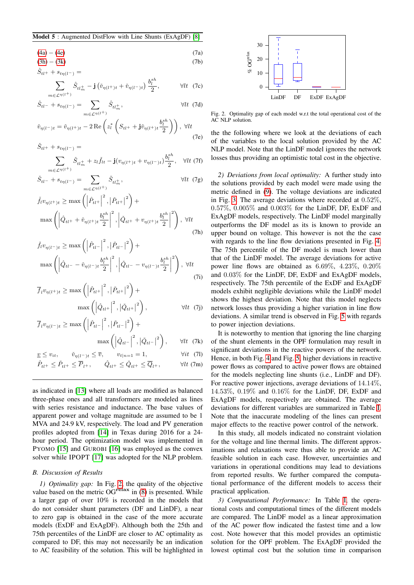#### <span id="page-3-1"></span>Model 5 : Augmented DistFlow with Line Shunts (ExAgDF) [\[8\]](#page-4-7)

$$
(4a) - (4e) \tag{7a}
$$

$$
(3h) - (3k) \tag{7b}
$$

$$
\hat{S}_{tl^+} + s_{t\eta(l^-)} =
$$

$$
\sum_{m \in \mathcal{L}^{\eta(l^+)}} \hat{S}_{tl_m^+} - \mathbf{j} \left( \check{v}_{\eta(l^+)} t + \check{v}_{\eta(l^-)} t \right) \frac{b_l^{sh}}{2}, \qquad \forall lt \quad (7c)
$$

$$
\hat{S}_{tl^{-}} + s_{t\eta(l^{-})} = \sum_{m \in \mathcal{L}^{\eta(l^{+})}} \hat{S}_{tl_{m}^{+}}, \qquad \forall lt \tag{7d}
$$

$$
\check{v}_{\eta(l^-)t} = \check{v}_{\eta(l^+)t} - 2 \operatorname{Re} \left( z_l^* \left( S_{tl^+} + \mathbf{j} \check{v}_{\eta(l^+)t} \frac{b_l^{sh}}{2} \right) \right), \ \forall lt
$$
\n
$$
(7e)
$$

 $\check{S}_{tl+} + s_{t\eta(l-)} =$ 

$$
\sum_{m \in \mathcal{L}^{\eta(l^+)}} \check{S}_{tl_m^+} + z_l \check{f}_{lt} - \mathbf{j} (v_{\eta(l^+ )t} + v_{\eta(l^- )t}) \frac{b_l^{sh}}{2}, \quad \forall lt \text{ (7f)}
$$

$$
\check{S}_{tl} - + s_{t\eta(l^{-})} = \sum_{m \in \mathcal{L}^{\eta(l^{+})}} \check{S}_{tl_{m}^{+}}, \qquad \forall lt \ (7g)
$$

$$
\check{f}_{l}v_{\eta(l^{+})t} \geq \max\left(\left|\hat{P}_{tl^{+}}\right|^{2}, \left|\check{P}_{tl^{+}}\right|^{2}\right) + \max\left(\left|\hat{Q}_{tl^{+}} + \check{v}_{\eta(l^{+})t}\frac{b_{l}^{sh}}{2}\right|^{2}, \left|\check{Q}_{tl^{+}} + v_{\eta(l^{+})t}\frac{b_{l}^{sh}}{2}\right|^{2}\right), \forall lt
$$
\n(7h)

$$
\check{f}_{t}v_{\eta(l^{-})t} \ge \max\left(\left|\hat{P}_{tl^{-}}\right|^{2}, \left|\check{P}_{tl^{-}}\right|^{2}\right) + \max\left(\left|\hat{Q}_{tl^{-}} - \check{v}_{\eta(l^{-})t}\frac{b_{l}^{sh}}{2}\right|^{2}, \left|\check{Q}_{tl^{-}} - v_{\eta(l^{-})t}\frac{b_{l}^{sh}}{2}\right|^{2}\right), \forall lt
$$
\n(7i)

$$
\overline{f}_l v_{\eta(l^+)} \ge \max\left(\left|\hat{P}_{tl^+}\right|^2, \left|\check{P}_{tl^+}\right|^2\right) + \max\left(\left|\hat{Q}_{tl^+}\right|^2, \left|\check{Q}_{tl^+}\right|^2\right), \qquad \forall lt \tag{7j}
$$

$$
\overline{f}_l v_{\eta(l^{-})t} \ge \max\left(\left|\hat{P}_{tl^{-}}\right|^2, \left|\check{P}_{tl^{-}}\right|^2\right) + \max\left(\left|\hat{Q}_{tl^{-}}\right|^2, \left|\check{Q}_{tl^{-}}\right|^2\right), \quad \forall lt \quad (7k)
$$

$$
\underline{v} \le v_{it}, \qquad \check{v}_{\eta(l^{-})t} \le \overline{v}, \qquad v_{t|n=1} = 1, \qquad \forall it \tag{71}
$$

$$
\hat{P}_{tl^+} \le \check{P}_{tl^+} \le \overline{P}_{l^+}, \qquad \hat{Q}_{tl^+} \le \check{Q}_{tl^+} \le \overline{Q}_{l^+}, \qquad \forall lt \text{ (7m)}
$$

as indicated in [\[13\]](#page-4-13) where all loads are modified as balanced three-phase ones and all transformers are modeled as lines with series resistance and inductance. The base values of apparent power and voltage magnitude are assumed to be 1 MVA and 24.9 kV, respectively. The load and PV generation profiles adopted from [\[14\]](#page-4-14) in Texas during 2016 for a 24 hour period. The optimization model was implemented in PYOMO [\[15\]](#page-4-15) and GUROBI [\[16\]](#page-4-16) was employed as the convex solver while IPOPT [\[17\]](#page-4-17) was adopted for the NLP problem.

# *B. Discussion of Results*

*1) Optimality gap:* In Fig. [2,](#page-3-2) the quality of the objective value based on the metric  $\text{OG}^{\text{relax}}$  in [\(8\)](#page-2-5) is presented. While a larger gap of over 10% is recorded in the models that do not consider shunt parameters (DF and LinDF), a near to zero gap is obtained in the case of the more accurate models (ExDF and ExAgDF). Although both the 25th and 75th percentiles of the LinDF are closer to AC optimality as compared to DF, this may not necessarily be an indication to AC feasibility of the solution. This will be highlighted in



<span id="page-3-2"></span>Fig. 2. Optimality gap of each model w.r.t the total operational cost of the AC NLP solution.

the the following where we look at the deviations of each of the variables to the local solution provided by the AC NLP model. Note that the LinDF model ignores the network losses thus providing an optimistic total cost in the objective.

*2) Deviations from local optimality:* A further study into the solutions provided by each model were made using the metric defined in [\(9\)](#page-2-6). The voltage deviations are indicated in Fig. [3.](#page-4-18) The average deviations where recorded at 0.52%, 0.57%, 0.005% and 0.003% for the LinDF, DF, ExDF and ExAgDF models, respectively. The LinDF model marginally outperforms the DF model as its is known to provide an upper bound on voltage. This however is not the the case with regards to the line flow deviations presented in Fig. [4.](#page-4-19) The 75th percentile of the DF model is much lower than that of the LinDF model. The average deviations for active power line flows are obtained as 6.69%, 4.23%, 0.20% and 0.03% for the LinDF, DF, ExDF and ExAgDF models, respectively. The 75th percentile of the ExDF and ExAgDF models exhibit negligible deviations while the LinDF model shows the highest deviation. Note that this model neglects network losses thus providing a higher variation in line flow deviations. A similar trend is observed in Fig. [5](#page-4-20) with regards to power injection deviations.

<span id="page-3-0"></span>It is noteworthy to mention that ignoring the line charging of the shunt elements in the OPF formulation may result in significant deviations in the reactive powers of the network. Hence, in both Fig. [4](#page-4-19) and Fig. [5,](#page-4-20) higher deviations in reactive power flows as compared to active power flows are obtained for the models neglecting line shunts (i.e., LinDF and DF). For reactive power injections, average deviations of 14.14%, 14.53%, 0.19% and 0.16% for the LinDF, DF, ExDF and ExAgDF models, respectively are obtained. The average deviations for different variables are summarized in Table [I.](#page-4-21) Note that the inaccurate modeling of the lines can present major effects to the reactive power control of the network.

In this study, all models indicated no constraint violation for the voltage and line thermal limits. The different approximations and relaxations were thus able to provide an AC feasible solution in each case. However, uncertainties and variations in operational conditions may lead to deviations from reported results. We further compared the computational performance of the different models to access their practical application.

*3) Computational Performance:* In Table [I,](#page-4-21) the operational costs and computational times of the different models are compared. The LinDF model as a linear approximation of the AC power flow indicated the fastest time and a low cost. Note however that this model provides an optimistic solution for the OPF problem. The ExAgDF provided the lowest optimal cost but the solution time in comparison